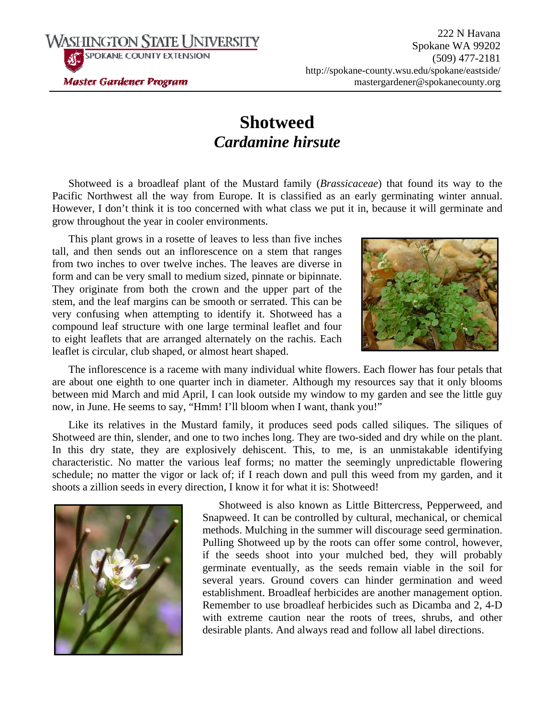**Master Gardener Program** 

WASHINGTON STATE UNIVERSITY **SPOKANE COUNTY EXTENSION** 

## **Shotweed**  *Cardamine hirsute*

Shotweed is a broadleaf plant of the Mustard family (*Brassicaceae*) that found its way to the Pacific Northwest all the way from Europe. It is classified as an early germinating winter annual. However, I don't think it is too concerned with what class we put it in, because it will germinate and grow throughout the year in cooler environments.

This plant grows in a rosette of leaves to less than five inches tall, and then sends out an inflorescence on a stem that ranges from two inches to over twelve inches. The leaves are diverse in form and can be very small to medium sized, pinnate or bipinnate. They originate from both the crown and the upper part of the stem, and the leaf margins can be smooth or serrated. This can be very confusing when attempting to identify it. Shotweed has a compound leaf structure with one large terminal leaflet and four to eight leaflets that are arranged alternately on the rachis. Each leaflet is circular, club shaped, or almost heart shaped.



The inflorescence is a raceme with many individual white flowers. Each flower has four petals that are about one eighth to one quarter inch in diameter. Although my resources say that it only blooms between mid March and mid April, I can look outside my window to my garden and see the little guy now, in June. He seems to say, "Hmm! I'll bloom when I want, thank you!"

Like its relatives in the Mustard family, it produces seed pods called siliques. The siliques of Shotweed are thin, slender, and one to two inches long. They are two-sided and dry while on the plant. In this dry state, they are explosively dehiscent. This, to me, is an unmistakable identifying characteristic. No matter the various leaf forms; no matter the seemingly unpredictable flowering schedule; no matter the vigor or lack of; if I reach down and pull this weed from my garden, and it shoots a zillion seeds in every direction, I know it for what it is: Shotweed!



Shotweed is also known as Little Bittercress, Pepperweed, and Snapweed. It can be controlled by cultural, mechanical, or chemical methods. Mulching in the summer will discourage seed germination. Pulling Shotweed up by the roots can offer some control, however, if the seeds shoot into your mulched bed, they will probably germinate eventually, as the seeds remain viable in the soil for several years. Ground covers can hinder germination and weed establishment. Broadleaf herbicides are another management option. Remember to use broadleaf herbicides such as Dicamba and 2, 4-D with extreme caution near the roots of trees, shrubs, and other desirable plants. And always read and follow all label directions.